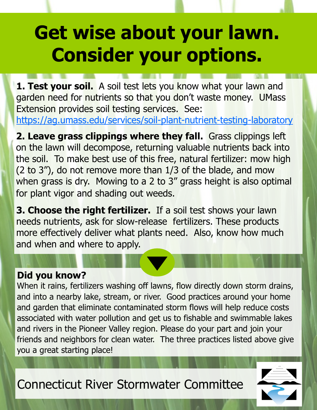## **Get wise about your lawn. Consider your options.**

**1. Test your soil.** A soil test lets you know what your lawn and garden need for nutrients so that you don't waste money. UMass Extension provides soil testing services. See: <https://ag.umass.edu/services/soil-plant-nutrient-testing-laboratory>

**2. Leave grass clippings where they fall.** Grass clippings left on the lawn will decompose, returning valuable nutrients back into the soil. To make best use of this free, natural fertilizer: mow high (2 to 3"), do not remove more than 1/3 of the blade, and mow when grass is dry. Mowing to a 2 to 3" grass height is also optimal for plant vigor and shading out weeds.

**3. Choose the right fertilizer.** If a soil test shows your lawn needs nutrients, ask for slow-release fertilizers. These products more effectively deliver what plants need. Also, know how much and when and where to apply.

## **Did you know?**

When it rains, fertilizers washing off lawns, flow directly down storm drains, and into a nearby lake, stream, or river. Good practices around your home and garden that eliminate contaminated storm flows will help reduce costs associated with water pollution and get us to fishable and swimmable lakes and rivers in the Pioneer Valley region. Please do your part and join your friends and neighbors for clean water. The three practices listed above give you a great starting place!

Connecticut River Stormwater Committee